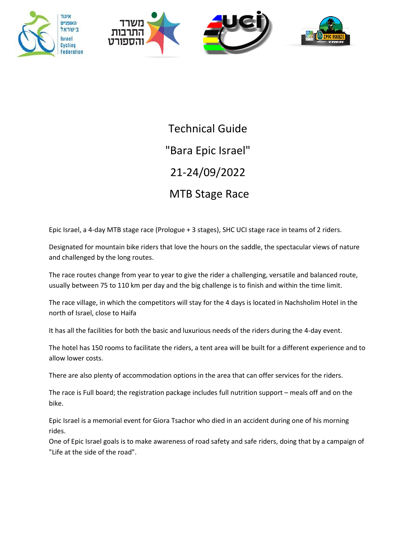



Technical Guide "Bara Epic Israel" 21-24/09/2022 MTB Stage Race

Epic Israel, a 4-day MTB stage race (Prologue + 3 stages), SHC UCI stage race in teams of 2 riders.

Designated for mountain bike riders that love the hours on the saddle, the spectacular views of nature and challenged by the long routes.

The race routes change from year to year to give the rider a challenging, versatile and balanced route, usually between 75 to 110 km per day and the big challenge is to finish and within the time limit.

The race village, in which the competitors will stay for the 4 days is located in Nachsholim Hotel in the north of Israel, close to Haifa

It has all the facilities for both the basic and luxurious needs of the riders during the 4-day event.

The hotel has 150 rooms to facilitate the riders, a tent area will be built for a different experience and to allow lower costs.

There are also plenty of accommodation options in the area that can offer services for the riders.

The race is Full board; the registration package includes full nutrition support – meals off and on the bike.

Epic Israel is a memorial event for Giora Tsachor who died in an accident during one of his morning rides.

One of Epic Israel goals is to make awareness of road safety and safe riders, doing that by a campaign of "Life at the side of the road".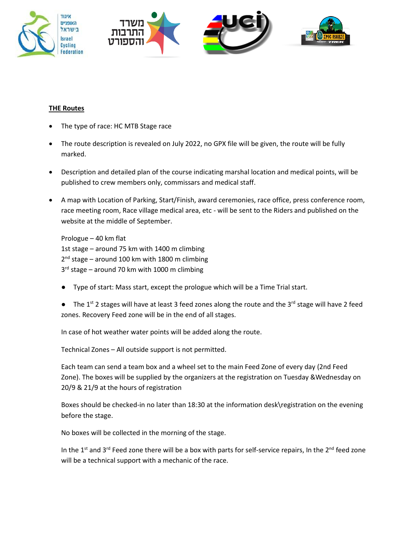



## **THE Routes**

- The type of race: HC MTB Stage race
- The route description is revealed on July 2022, no GPX file will be given, the route will be fully marked.
- Description and detailed plan of the course indicating marshal location and medical points, will be published to crew members only, commissars and medical staff.
- A map with Location of Parking, Start/Finish, award ceremonies, race office, press conference room, race meeting room, Race village medical area, etc - will be sent to the Riders and published on the website at the middle of September.

Prologue – 40 km flat 1st stage – around 75 km with 1400 m climbing 2<sup>nd</sup> stage – around 100 km with 1800 m climbing 3<sup>rd</sup> stage – around 70 km with 1000 m climbing

- Type of start: Mass start, except the prologue which will be a Time Trial start.
- The 1<sup>st</sup> 2 stages will have at least 3 feed zones along the route and the 3<sup>rd</sup> stage will have 2 feed zones. Recovery Feed zone will be in the end of all stages.

In case of hot weather water points will be added along the route.

Technical Zones – All outside support is not permitted.

Each team can send a team box and a wheel set to the main Feed Zone of every day (2nd Feed Zone). The boxes will be supplied by the organizers at the registration on Tuesday &Wednesday on 20/9 & 21/9 at the hours of registration

Boxes should be checked-in no later than 18:30 at the information desk\registration on the evening before the stage.

No boxes will be collected in the morning of the stage.

In the 1<sup>st</sup> and 3<sup>rd</sup> Feed zone there will be a box with parts for self-service repairs, In the 2<sup>nd</sup> feed zone will be a technical support with a mechanic of the race.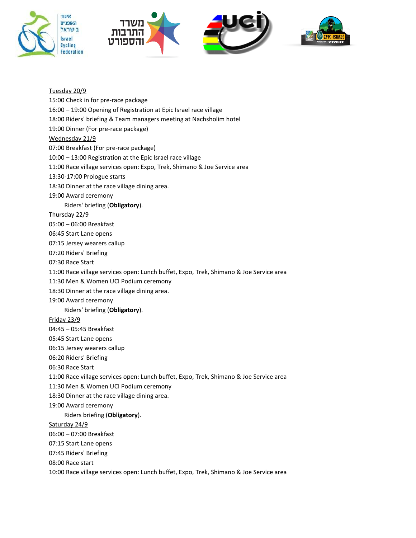





Tuesday 20/9 15:00 Check in for pre-race package 16:00 – 19:00 Opening of Registration at Epic Israel race village 18:00 Riders' briefing & Team managers meeting at Nachsholim hotel 19:00 Dinner (For pre-race package) Wednesday 21/9 07:00 Breakfast (For pre-race package) 10:00 – 13:00 Registration at the Epic Israel race village 11:00 Race village services open: Expo, Trek, Shimano & Joe Service area 13:30-17:00 Prologue starts 18:30 Dinner at the race village dining area. 19:00 Award ceremony Riders' briefing (**Obligatory**). Thursday 22/9 05:00 – 06:00 Breakfast 06:45 Start Lane opens 07:15 Jersey wearers callup 07:20 Riders' Briefing 07:30 Race Start 11:00 Race village services open: Lunch buffet, Expo, Trek, Shimano & Joe Service area 11:30 Men & Women UCI Podium ceremony 18:30 Dinner at the race village dining area. 19:00 Award ceremony Riders' briefing (**Obligatory**). Friday 23/9 04:45 – 05:45 Breakfast 05:45 Start Lane opens 06:15 Jersey wearers callup 06:20 Riders' Briefing 06:30 Race Start 11:00 Race village services open: Lunch buffet, Expo, Trek, Shimano & Joe Service area 11:30 Men & Women UCI Podium ceremony 18:30 Dinner at the race village dining area. 19:00 Award ceremony Riders briefing (**Obligatory**). Saturday 24/9 06:00 – 07:00 Breakfast 07:15 Start Lane opens 07:45 Riders' Briefing 08:00 Race start 10:00 Race village services open: Lunch buffet, Expo, Trek, Shimano & Joe Service area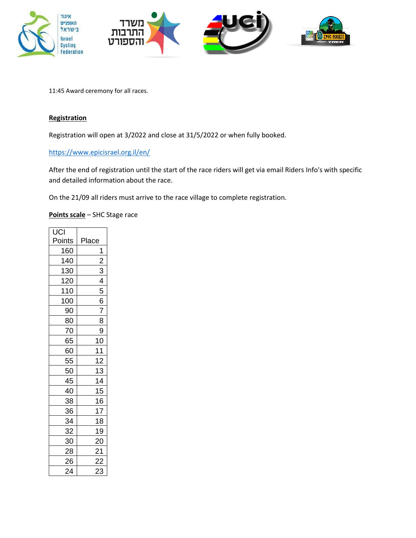

11:45 Award ceremony for all races.

# **Registration**

Registration will open at 3/2022 and close at 31/5/2022 or when fully booked.

<https://www.epicisrael.org.il/en/>

After the end of registration until the start of the race riders will get via email Riders Info's with specific and detailed information about the race.

On the 21/09 all riders must arrive to the race village to complete registration.

**Points scale** – SHC Stage race

| UCI       |                |
|-----------|----------------|
| Points    | Place          |
| 160       | 1              |
| 140       | $\overline{c}$ |
| 130       | 3              |
| 120       | 4              |
| 110       | 5              |
| 100       | 6              |
| 90        | 7              |
| 80        | 8              |
| 70        | 9              |
| 65        | 10             |
| 60        | 11             |
| 55        | 12             |
| 50        | 13             |
| 45        | 14             |
| 40        | 15             |
| 38        | 16             |
| 36        | 17             |
| <u>34</u> | 18             |
| 32        | 19             |
| 30        | 20             |
| 28        | 21             |
| 26        | 22             |
| 24        | 23             |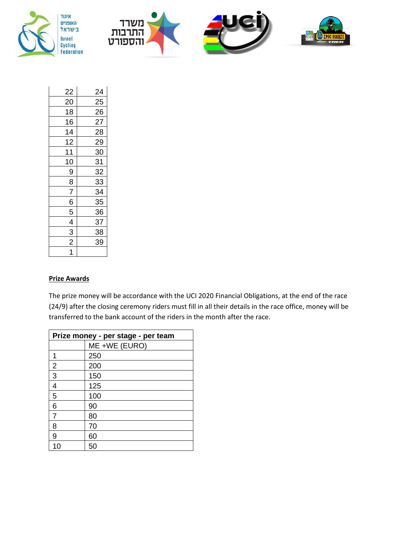





| 22             | 24 |
|----------------|----|
| 20             | 25 |
| 18             | 26 |
| 16             | 27 |
| 14             | 28 |
| 12             | 29 |
| 11             | 30 |
| 10             | 31 |
| 9              | 32 |
| 8              | 33 |
| $\overline{7}$ | 34 |
| 6              | 35 |
| 5              | 36 |
| $\frac{1}{4}$  | 37 |
| $\overline{3}$ | 38 |
| $\frac{1}{2}$  | 39 |
| $\overline{1}$ |    |

#### **Prize Awards**

The prize money will be accordance with the UCI 2020 Financial Obligations, at the end of the race (24/9) after the closing ceremony riders must fill in all their details in the race office, money will be transferred to the bank account of the riders in the month after the race.

| Prize money - per stage - per team |               |  |
|------------------------------------|---------------|--|
|                                    | ME +WE (EURO) |  |
| 1                                  | 250           |  |
| $\overline{2}$                     | 200           |  |
| 3                                  | 150           |  |
| 4                                  | 125           |  |
| 5                                  | 100           |  |
| 6                                  | 90            |  |
| $\overline{7}$                     | 80            |  |
| 8                                  | 70            |  |
| 9                                  | 60            |  |
| 10                                 | 50            |  |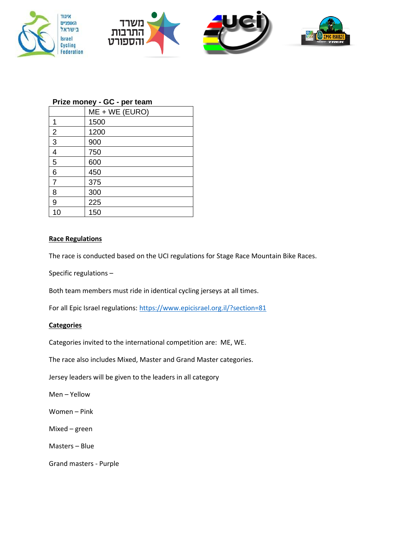





### **Prize money - GC - per team**

|                | ME + WE (EURO) |
|----------------|----------------|
| 1              | 1500           |
| $\overline{2}$ | 1200           |
| 3              | 900            |
| 4              | 750            |
| 5              | 600            |
| 6              | 450            |
| $\overline{7}$ | 375            |
| 8              | 300            |
| 9              | 225            |
| 10             | 150            |

הספו

#### **Race Regulations**

The race is conducted based on the UCI regulations for Stage Race Mountain Bike Races.

Specific regulations –

Both team members must ride in identical cycling jerseys at all times.

For all Epic Israel regulations:<https://www.epicisrael.org.il/?section=81>

#### **Categories**

Categories invited to the international competition are: ME, WE.

The race also includes Mixed, Master and Grand Master categories.

Jersey leaders will be given to the leaders in all category

Men – Yellow

Women – Pink

Mixed – green

Masters – Blue

Grand masters - Purple